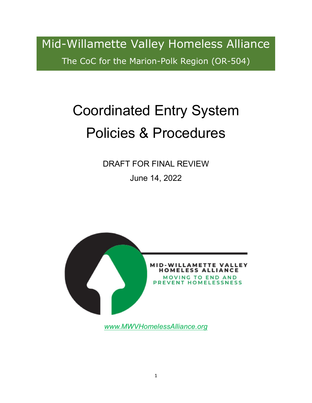Mid-Willamette Valley Homeless Alliance The CoC for the Marion-Polk Region (OR-504)

# Coordinated Entry System Policies & Procedures

DRAFT FOR FINAL REVIEW June 14, 2022



*[www.MWVHomelessAlliance.org](http://www.mwvhomelessalliance.org/)*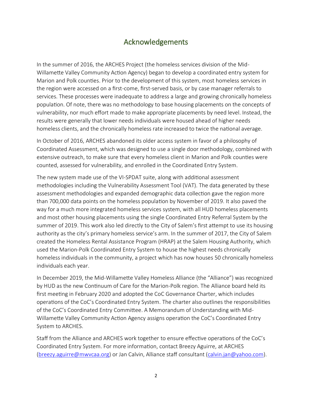# Acknowledgements

In the summer of 2016, the ARCHES Project (the homeless services division of the Mid-Willamette Valley Community Action Agency) began to develop a coordinated entry system for Marion and Polk counties. Prior to the development of this system, most homeless services in the region were accessed on a first-come, first-served basis, or by case manager referrals to services. These processes were inadequate to address a large and growing chronically homeless population. Of note, there was no methodology to base housing placements on the concepts of vulnerability, nor much effort made to make appropriate placements by need level. Instead, the results were generally that lower needs individuals were housed ahead of higher needs homeless clients, and the chronically homeless rate increased to twice the national average.

In October of 2016, ARCHES abandoned its older access system in favor of a philosophy of Coordinated Assessment, which was designed to use a single door methodology, combined with extensive outreach, to make sure that every homeless client in Marion and Polk counties were counted, assessed for vulnerability, and enrolled in the Coordinated Entry System.

The new system made use of the VI-SPDAT suite, along with additional assessment methodologies including the Vulnerability Assessment Tool (VAT). The data generated by these assessment methodologies and expanded demographic data collection gave the region more than 700,000 data points on the homeless population by November of 2019. It also paved the way for a much more integrated homeless services system, with all HUD homeless placements and most other housing placements using the single Coordinated Entry Referral System by the summer of 2019. This work also led directly to the City of Salem's first attempt to use its housing authority as the city's primary homeless service's arm. In the summer of 2017, the City of Salem created the Homeless Rental Assistance Program (HRAP) at the Salem Housing Authority, which used the Marion-Polk Coordinated Entry System to house the highest needs chronically homeless individuals in the community, a project which has now houses 50 chronically homeless individuals each year.

In December 2019, the Mid-Willamette Valley Homeless Alliance (the "Alliance") was recognized by HUD as the new Continuum of Care for the Marion-Polk region. The Alliance board held its first meeting in February 2020 and adopted the CoC Governance Charter, which includes operations of the CoC's Coordinated Entry System. The charter also outlines the responsibilities of the CoC's Coordinated Entry Committee. A Memorandum of Understanding with Mid-Willamette Valley Community Action Agency assigns operation the CoC's Coordinated Entry System to ARCHES.

Staff from the Alliance and ARCHES work together to ensure effective operations of the CoC's Coordinated Entry System. For more information, contact Breezy Aguirre, at ARCHES [\(breezy.aguirre@mwvcaa.org\)](mailto:breezy.aguirre@mwvcaa.org) or Jan Calvin, Alliance staff consultant [\(calvin.jan@yahoo.com\)](mailto:calvin.jan@yahoo.com).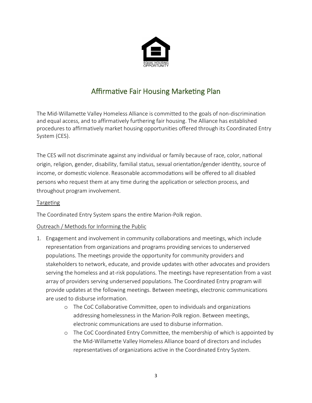

# Affirmative Fair Housing Marketing Plan

The Mid-Willamette Valley Homeless Alliance is committed to the goals of non-discrimination and equal access, and to affirmatively furthering fair housing. The Alliance has established procedures to affirmatively market housing opportunities offered through its Coordinated Entry System (CES).

The CES will not discriminate against any individual or family because of race, color, national origin, religion, gender, disability, familial status, sexual orientation/gender identity, source of income, or domestic violence. Reasonable accommodations will be offered to all disabled persons who request them at any time during the application or selection process, and throughout program involvement.

#### **Targeting**

The Coordinated Entry System spans the entire Marion-Polk region.

#### Outreach / Methods for Informing the Public

- 1. Engagement and involvement in community collaborations and meetings, which include representation from organizations and programs providing services to underserved populations. The meetings provide the opportunity for community providers and stakeholders to network, educate, and provide updates with other advocates and providers serving the homeless and at-risk populations. The meetings have representation from a vast array of providers serving underserved populations. The Coordinated Entry program will provide updates at the following meetings. Between meetings, electronic communications are used to disburse information.
	- o The CoC Collaborative Committee, open to individuals and organizations addressing homelessness in the Marion-Polk region. Between meetings, electronic communications are used to disburse information.
	- o The CoC Coordinated Entry Committee, the membership of which is appointed by the Mid-Willamette Valley Homeless Alliance board of directors and includes representatives of organizations active in the Coordinated Entry System.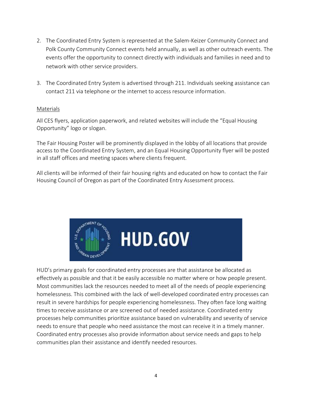- 2. The Coordinated Entry System is represented at the Salem-Keizer Community Connect and Polk County Community Connect events held annually, as well as other outreach events. The events offer the opportunity to connect directly with individuals and families in need and to network with other service providers.
- 3. The Coordinated Entry System is advertised through 211. Individuals seeking assistance can contact 211 via telephone or the internet to access resource information.

#### Materials

All CES flyers, application paperwork, and related websites will include the "Equal Housing Opportunity" logo or slogan.

The Fair Housing Poster will be prominently displayed in the lobby of all locations that provide access to the Coordinated Entry System, and an Equal Housing Opportunity flyer will be posted in all staff offices and meeting spaces where clients frequent.

All clients will be informed of their fair housing rights and educated on how to contact the Fair Housing Council of Oregon as part of the Coordinated Entry Assessment process.



HUD's primary goals for coordinated entry processes are that assistance be allocated as effectively as possible and that it be easily accessible no matter where or how people present. Most communities lack the resources needed to meet all of the needs of people experiencing homelessness. This combined with the lack of well-developed coordinated entry processes can result in severe hardships for people experiencing homelessness. They often face long waiting times to receive assistance or are screened out of needed assistance. Coordinated entry processes help communities prioritize assistance based on vulnerability and severity of service needs to ensure that people who need assistance the most can receive it in a timely manner. Coordinated entry processes also provide information about service needs and gaps to help communities plan their assistance and identify needed resources.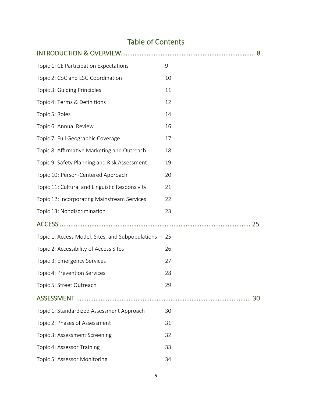# Table of Contents

|                                                  | . 8 |
|--------------------------------------------------|-----|
| Topic 1: CE Participation Expectations           | 9   |
| Topic 2: CoC and ESG Coordination                | 10  |
| Topic 3: Guiding Principles                      | 11  |
| Topic 4: Terms & Definitions                     | 12  |
| Topic 5: Roles                                   | 14  |
| Topic 6: Annual Review                           | 16  |
| Topic 7: Full Geographic Coverage                | 17  |
| Topic 8: Affirmative Marketing and Outreach      | 18  |
| Topic 9: Safety Planning and Risk Assessment     | 19  |
| Topic 10: Person-Centered Approach               | 20  |
| Topic 11: Cultural and Linguistic Responsivity   | 21  |
| Topic 12: Incorporating Mainstream Services      | 22  |
| Topic 13: Nondiscrimination                      | 23  |
|                                                  | 25  |
| Topic 1: Access Model, Sites, and Subpopulations | 25  |
| Topic 2: Accessibility of Access Sites           | 26  |
| Topic 3: Emergency Services                      | 27  |
| Topic 4: Prevention Services                     | 28  |
| Topic 5: Street Outreach                         | 29  |
|                                                  | 30  |
| Topic 1: Standardized Assessment Approach        | 30  |
| Topic 2: Phases of Assessment                    | 31  |
| Topic 3: Assessment Screening                    | 32  |
| Topic 4: Assessor Training                       | 33  |
| Topic 5: Assessor Monitoring                     | 34  |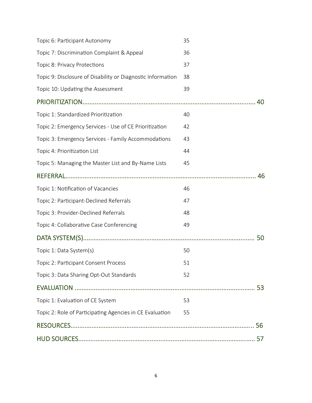| Topic 6: Participant Autonomy                               | 35 |
|-------------------------------------------------------------|----|
| Topic 7: Discrimination Complaint & Appeal                  | 36 |
| Topic 8: Privacy Protections                                | 37 |
| Topic 9: Disclosure of Disability or Diagnostic Information | 38 |
| Topic 10: Updating the Assessment                           | 39 |
|                                                             |    |
| Topic 1: Standardized Prioritization                        | 40 |
| Topic 2: Emergency Services - Use of CE Prioritization      | 42 |
| Topic 3: Emergency Services - Family Accommodations         | 43 |
| Topic 4: Prioritization List                                | 44 |
| Topic 5: Managing the Master List and By-Name Lists         | 45 |
|                                                             |    |
| Topic 1: Notification of Vacancies                          | 46 |
| Topic 2: Participant-Declined Referrals                     | 47 |
| Topic 3: Provider-Declined Referrals                        | 48 |
| Topic 4: Collaborative Case Conferencing                    | 49 |
|                                                             |    |
| Topic 1: Data System(s)                                     | 50 |
| Topic 2: Participant Consent Process                        | 51 |
| Topic 3: Data Sharing Opt-Out Standards                     | 52 |
|                                                             |    |
| Topic 1: Evaluation of CE System                            | 53 |
| Topic 2: Role of Participating Agencies in CE Evaluation    | 55 |
|                                                             |    |
|                                                             |    |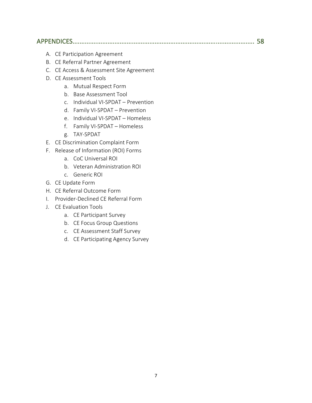### APPENDICES........................................................................................................ 58

- A. CE Participation Agreement
- B. CE Referral Partner Agreement
- C. CE Access & Assessment Site Agreement
- D. CE Assessment Tools
	- a. Mutual Respect Form
	- b. Base Assessment Tool
	- c. Individual VI-SPDAT Prevention
	- d. Family VI-SPDAT Prevention
	- e. Individual VI-SPDAT Homeless
	- f. Family VI-SPDAT Homeless
	- g. TAY-SPDAT
- E. CE Discrimination Complaint Form
- F. Release of Information (ROI) Forms
	- a. CoC Universal ROI
	- b. Veteran Administration ROI
	- c. Generic ROI
- G. CE Update Form
- H. CE Referral Outcome Form
- I. Provider-Declined CE Referral Form
- J. CE Evaluation Tools
	- a. CE Participant Survey
	- b. CE Focus Group Questions
	- c. CE Assessment Staff Survey
	- d. CE Participating Agency Survey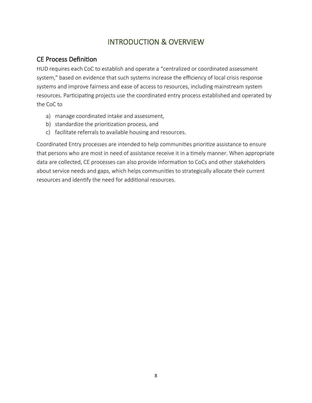# INTRODUCTION & OVERVIEW

### CE Process Definition

HUD requires each CoC to establish and operate a "centralized or coordinated assessment system," based on evidence that such systems increase the efficiency of local crisis response systems and improve fairness and ease of access to resources, including mainstream system resources. Participating projects use the coordinated entry process established and operated by the CoC to

- a) manage coordinated intake and assessment,
- b) standardize the prioritization process, and
- c) facilitate referrals to available housing and resources.

Coordinated Entry processes are intended to help communities prioritize assistance to ensure that persons who are most in need of assistance receive it in a timely manner. When appropriate data are collected, CE processes can also provide information to CoCs and other stakeholders about service needs and gaps, which helps communities to strategically allocate their current resources and identify the need for additional resources.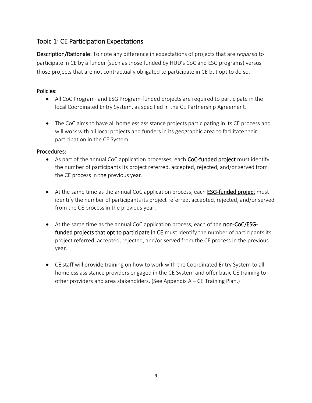### Topic 1: CE Participation Expectations

Description/Rationale: To note any difference in expectations of projects that are *required* to participate in CE by a funder (such as those funded by HUD's CoC and ESG programs) versus those projects that are not contractually obligated to participate in CE but opt to do so.

#### Policies:

- All CoC Program- and ESG Program-funded projects are required to participate in the local Coordinated Entry System, as specified in the CE Partnership Agreement.
- The CoC aims to have all homeless assistance projects participating in its CE process and will work with all local projects and funders in its geographic area to facilitate their participation in the CE System.

- As part of the annual CoC application processes, each **CoC-funded project** must identify the number of participants its project referred, accepted, rejected, and/or served from the CE process in the previous year.
- At the same time as the annual CoC application process, each **ESG-funded project** must identify the number of participants its project referred, accepted, rejected, and/or served from the CE process in the previous year.
- At the same time as the annual CoC application process, each of the **non-CoC/ESG**funded projects that opt to participate in CE must identify the number of participants its project referred, accepted, rejected, and/or served from the CE process in the previous year.
- CE staff will provide training on how to work with the Coordinated Entry System to all homeless assistance providers engaged in the CE System and offer basic CE training to other providers and area stakeholders. (See Appendix A – CE Training Plan.)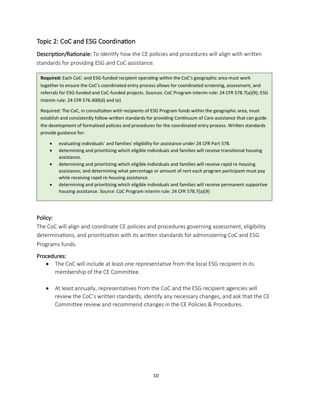### Topic 2: CoC and ESG Coordination

Description/Rationale: To identify how the CE policies and procedures will align with written standards for providing ESG and CoC assistance.

**Required:** Each CoC- and ESG-funded recipient operating within the CoC's geographic area must work together to ensure the CoC's coordinated entry process allows for coordinated screening, assessment, and referrals for ESG-funded and CoC-funded projects. Sources: CoC Program interim rule: 24 CFR 578.7(a)(9); ESG interim rule: 24 CFR 576.400(d) and (e)

Required: The CoC, in consultation with recipients of ESG Program funds within the geographic area, must establish and consistently follow written standards for providing Continuum of Care assistance that can guide the development of formalized policies and procedures for the coordinated entry process. Written standards provide guidance for:

- evaluating individuals' and families' eligibility for assistance under 24 CFR Part 578.
- determining and prioritizing which eligible individuals and families will receive transitional housing assistance.
- determining and prioritizing which eligible individuals and families will receive rapid re-housing assistance; and determining what percentage or amount of rent each program participant must pay while receiving rapid re-housing assistance.
- determining and prioritizing which eligible individuals and families will receive permanent supportive housing assistance. Source: CoC Program interim rule: 24 CFR 578.7(a)(9)

#### Policy:

The CoC will align and coordinate CE policies and procedures governing assessment, eligibility determinations, and prioritization with its written standards for administering CoC and ESG Programs funds.

- The CoC will include at least one representative from the local ESG recipient in its membership of the CE Committee.
- At least annually, representatives from the CoC and the ESG recipient agencies will review the CoC's written standards, identify any necessary changes, and ask that the CE Committee review and recommend changes in the CE Policies & Procedures.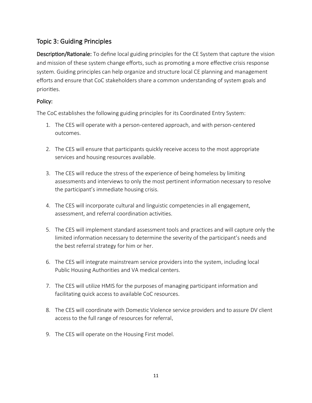### Topic 3: Guiding Principles

Description/Rationale: To define local guiding principles for the CE System that capture the vision and mission of these system change efforts, such as promoting a more effective crisis response system. Guiding principles can help organize and structure local CE planning and management efforts and ensure that CoC stakeholders share a common understanding of system goals and priorities.

#### Policy:

The CoC establishes the following guiding principles for its Coordinated Entry System:

- 1. The CES will operate with a person-centered approach, and with person-centered outcomes.
- 2. The CES will ensure that participants quickly receive access to the most appropriate services and housing resources available.
- 3. The CES will reduce the stress of the experience of being homeless by limiting assessments and interviews to only the most pertinent information necessary to resolve the participant's immediate housing crisis.
- 4. The CES will incorporate cultural and linguistic competencies in all engagement, assessment, and referral coordination activities.
- 5. The CES will implement standard assessment tools and practices and will capture only the limited information necessary to determine the severity of the participant's needs and the best referral strategy for him or her.
- 6. The CES will integrate mainstream service providers into the system, including local Public Housing Authorities and VA medical centers.
- 7. The CES will utilize HMIS for the purposes of managing participant information and facilitating quick access to available CoC resources.
- 8. The CES will coordinate with Domestic Violence service providers and to assure DV client access to the full range of resources for referral.
- 9. The CES will operate on the Housing First model.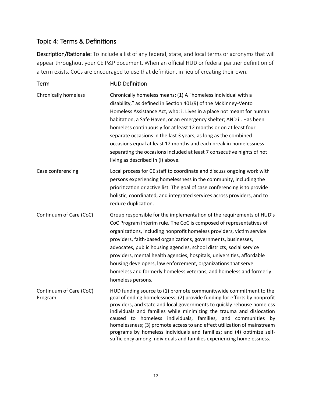### Topic 4: Terms & Definitions

Description/Rationale: To include a list of any federal, state, and local terms or acronyms that will appear throughout your CE P&P document. When an official HUD or federal partner definition of a term exists, CoCs are encouraged to use that definition, in lieu of creating their own.

| Term                               | <b>HUD Definition</b>                                                                                                                                                                                                                                                                                                                                                                                                                                                                                                                                                                                       |
|------------------------------------|-------------------------------------------------------------------------------------------------------------------------------------------------------------------------------------------------------------------------------------------------------------------------------------------------------------------------------------------------------------------------------------------------------------------------------------------------------------------------------------------------------------------------------------------------------------------------------------------------------------|
| <b>Chronically homeless</b>        | Chronically homeless means: (1) A "homeless individual with a<br>disability," as defined in Section 401(9) of the McKinney-Vento<br>Homeless Assistance Act, who: i. Lives in a place not meant for human<br>habitation, a Safe Haven, or an emergency shelter; AND ii. Has been<br>homeless continuously for at least 12 months or on at least four<br>separate occasions in the last 3 years, as long as the combined<br>occasions equal at least 12 months and each break in homelessness<br>separating the occasions included at least 7 consecutive nights of not<br>living as described in (i) above. |
| Case conferencing                  | Local process for CE staff to coordinate and discuss ongoing work with<br>persons experiencing homelessness in the community, including the<br>prioritization or active list. The goal of case conferencing is to provide<br>holistic, coordinated, and integrated services across providers, and to<br>reduce duplication.                                                                                                                                                                                                                                                                                 |
| Continuum of Care (CoC)            | Group responsible for the implementation of the requirements of HUD's<br>CoC Program interim rule. The CoC is composed of representatives of<br>organizations, including nonprofit homeless providers, victim service<br>providers, faith-based organizations, governments, businesses,<br>advocates, public housing agencies, school districts, social service<br>providers, mental health agencies, hospitals, universities, affordable<br>housing developers, law enforcement, organizations that serve<br>homeless and formerly homeless veterans, and homeless and formerly<br>homeless persons.       |
| Continuum of Care (CoC)<br>Program | HUD funding source to (1) promote communitywide commitment to the<br>goal of ending homelessness; (2) provide funding for efforts by nonprofit<br>providers, and state and local governments to quickly rehouse homeless<br>individuals and families while minimizing the trauma and dislocation<br>caused to homeless individuals, families, and communities by<br>homelessness; (3) promote access to and effect utilization of mainstream<br>programs by homeless individuals and families; and (4) optimize self-<br>sufficiency among individuals and families experiencing homelessness.              |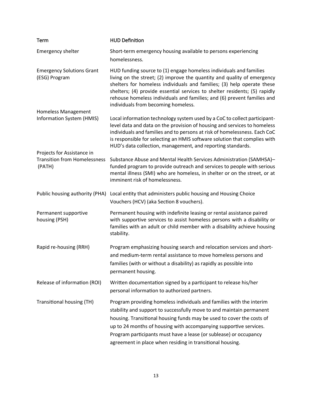| Term                                                                        | <b>HUD Definition</b>                                                                                                                                                                                                                                                                                                                                                                                                        |  |  |
|-----------------------------------------------------------------------------|------------------------------------------------------------------------------------------------------------------------------------------------------------------------------------------------------------------------------------------------------------------------------------------------------------------------------------------------------------------------------------------------------------------------------|--|--|
| <b>Emergency shelter</b>                                                    | Short-term emergency housing available to persons experiencing<br>homelessness.                                                                                                                                                                                                                                                                                                                                              |  |  |
| <b>Emergency Solutions Grant</b><br>(ESG) Program                           | HUD funding source to (1) engage homeless individuals and families<br>living on the street; (2) improve the quantity and quality of emergency<br>shelters for homeless individuals and families; (3) help operate these<br>shelters; (4) provide essential services to shelter residents; (5) rapidly<br>rehouse homeless individuals and families; and (6) prevent families and<br>individuals from becoming homeless.      |  |  |
| Homeless Management                                                         |                                                                                                                                                                                                                                                                                                                                                                                                                              |  |  |
| Information System (HMIS)                                                   | Local information technology system used by a CoC to collect participant-<br>level data and data on the provision of housing and services to homeless<br>individuals and families and to persons at risk of homelessness. Each CoC<br>is responsible for selecting an HMIS software solution that complies with<br>HUD's data collection, management, and reporting standards.                                               |  |  |
| Projects for Assistance in<br><b>Transition from Homelessness</b><br>(PATH) | Substance Abuse and Mental Health Services Administration (SAMHSA)-<br>funded program to provide outreach and services to people with serious<br>mental illness (SMI) who are homeless, in shelter or on the street, or at<br>imminent risk of homelessness.                                                                                                                                                                 |  |  |
| Public housing authority (PHA)                                              | Local entity that administers public housing and Housing Choice<br>Vouchers (HCV) (aka Section 8 vouchers).                                                                                                                                                                                                                                                                                                                  |  |  |
| Permanent supportive<br>housing (PSH)                                       | Permanent housing with indefinite leasing or rental assistance paired<br>with supportive services to assist homeless persons with a disability or<br>families with an adult or child member with a disability achieve housing<br>stability.                                                                                                                                                                                  |  |  |
| Rapid re-housing (RRH)                                                      | Program emphasizing housing search and relocation services and short-<br>and medium-term rental assistance to move homeless persons and<br>families (with or without a disability) as rapidly as possible into<br>permanent housing.                                                                                                                                                                                         |  |  |
| Release of information (ROI)                                                | Written documentation signed by a participant to release his/her<br>personal information to authorized partners.                                                                                                                                                                                                                                                                                                             |  |  |
| Transitional housing (TH)                                                   | Program providing homeless individuals and families with the interim<br>stability and support to successfully move to and maintain permanent<br>housing. Transitional housing funds may be used to cover the costs of<br>up to 24 months of housing with accompanying supportive services.<br>Program participants must have a lease (or sublease) or occupancy<br>agreement in place when residing in transitional housing. |  |  |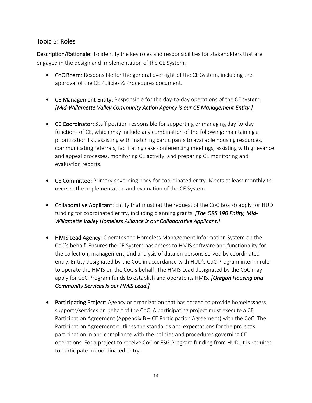### Topic 5: Roles

Description/Rationale: To identify the key roles and responsibilities for stakeholders that are engaged in the design and implementation of the CE System.

- CoC Board: Responsible for the general oversight of the CE System, including the approval of the CE Policies & Procedures document.
- CE Management Entity: Responsible for the day-to-day operations of the CE system. *[Mid-Willamette Valley Community Action Agency is our CE Management Entity.]*
- CE Coordinator: Staff position responsible for supporting or managing day-to-day functions of CE, which may include any combination of the following: maintaining a prioritization list, assisting with matching participants to available housing resources, communicating referrals, facilitating case conferencing meetings, assisting with grievance and appeal processes, monitoring CE activity, and preparing CE monitoring and evaluation reports.
- CE Committee: Primary governing body for coordinated entry. Meets at least monthly to oversee the implementation and evaluation of the CE System.
- Collaborative Applicant: Entity that must (at the request of the CoC Board) apply for HUD funding for coordinated entry, including planning grants. *[The ORS 190 Entity, Mid-Willamette Valley Homeless Alliance is our Collaborative Applicant.]*
- HMIS Lead Agency: Operates the Homeless Management Information System on the CoC's behalf. Ensures the CE System has access to HMIS software and functionality for the collection, management, and analysis of data on persons served by coordinated entry. Entity designated by the CoC in accordance with HUD's CoC Program interim rule to operate the HMIS on the CoC's behalf. The HMIS Lead designated by the CoC may apply for CoC Program funds to establish and operate its HMIS. *[Oregon Housing and Community Services is our HMIS Lead.]*
- Participating Project: Agency or organization that has agreed to provide homelessness supports/services on behalf of the CoC. A participating project must execute a CE Participation Agreement (Appendix B – CE Participation Agreement) with the CoC. The Participation Agreement outlines the standards and expectations for the project's participation in and compliance with the policies and procedures governing CE operations. For a project to receive CoC or ESG Program funding from HUD, it is required to participate in coordinated entry.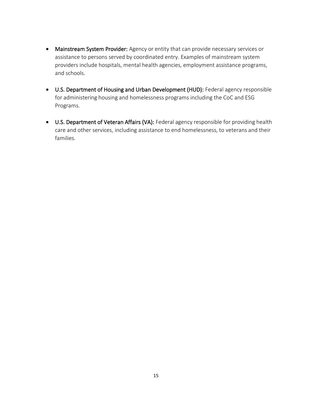- Mainstream System Provider: Agency or entity that can provide necessary services or assistance to persons served by coordinated entry. Examples of mainstream system providers include hospitals, mental health agencies, employment assistance programs, and schools.
- U.S. Department of Housing and Urban Development (HUD): Federal agency responsible for administering housing and homelessness programs including the CoC and ESG Programs.
- U.S. Department of Veteran Affairs (VA): Federal agency responsible for providing health care and other services, including assistance to end homelessness, to veterans and their families.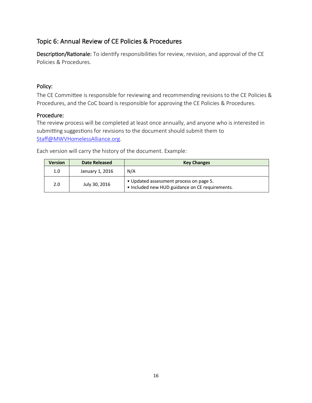### Topic 6: Annual Review of CE Policies & Procedures

Description/Rationale: To identify responsibilities for review, revision, and approval of the CE Policies & Procedures.

#### Policy:

The CE Committee is responsible for reviewing and recommending revisions to the CE Policies & Procedures, and the CoC board is responsible for approving the CE Policies & Procedures.

#### Procedure:

The review process will be completed at least once annually, and anyone who is interested in submitting suggestions for revisions to the document should submit them to [Staff@MWVHomelessAlliance.org.](mailto:Staff@MWVHomelessAlliance.org)

Each version will carry the history of the document. Example:

| <b>Version</b> | <b>Date Released</b> | <b>Key Changes</b>                                                                         |  |  |
|----------------|----------------------|--------------------------------------------------------------------------------------------|--|--|
| 1.0            | January 1, 2016      | N/A                                                                                        |  |  |
| 2.0            | July 30, 2016        | • Updated assessment process on page 5.<br>• Included new HUD guidance on CE requirements. |  |  |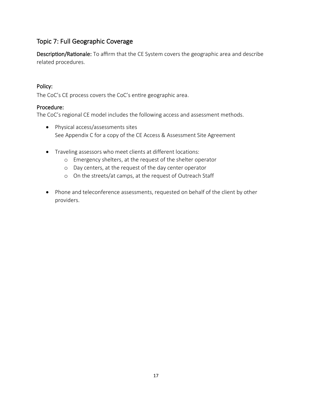### Topic 7: Full Geographic Coverage

Description/Rationale: To affirm that the CE System covers the geographic area and describe related procedures.

#### Policy:

The CoC's CE process covers the CoC's entire geographic area.

#### Procedure:

The CoC's regional CE model includes the following access and assessment methods.

- Physical access/assessments sites See Appendix C for a copy of the CE Access & Assessment Site Agreement
- Traveling assessors who meet clients at different locations:
	- o Emergency shelters, at the request of the shelter operator
	- o Day centers, at the request of the day center operator
	- o On the streets/at camps, at the request of Outreach Staff
- Phone and teleconference assessments, requested on behalf of the client by other providers.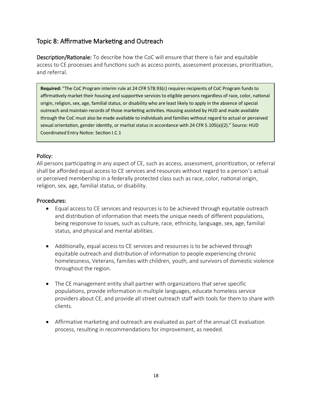### Topic 8: Affirmative Marketing and Outreach

Description/Rationale: To describe how the CoC will ensure that there is fair and equitable access to CE processes and functions such as access points, assessment processes, prioritization, and referral.

**Required:** "The CoC Program interim rule at 24 CFR 578.93(c) requires recipients of CoC Program funds to affirmatively market their housing and supportive services to eligible persons regardless of race, color, national origin, religion, sex, age, familial status, or disability who are least likely to apply in the absence of special outreach and maintain records of those marketing activities. Housing assisted by HUD and made available through the CoC must also be made available to individuals and families without regard to actual or perceived sexual orientation, gender identity, or marital status in accordance with 24 CFR 5.105(a)(2)." Source: HUD Coordinated Entry Notice: Section I.C.1

#### Policy:

All persons participating in any aspect of CE, such as access, assessment, prioritization, or referral shall be afforded equal access to CE services and resources without regard to a person's actual or perceived membership in a federally protected class such as race, color, national origin, religion, sex, age, familial status, or disability.

- Equal access to CE services and resources is to be achieved through equitable outreach and distribution of information that meets the unique needs of different populations, being responsive to issues, such as culture, race, ethnicity, language, sex, age, familial status, and physical and mental abilities.
- Additionally, equal access to CE services and resources is to be achieved through equitable outreach and distribution of information to people experiencing chronic homelessness, Veterans, families with children, youth, and survivors of domestic violence throughout the region.
- The CE management entity shall partner with organizations that serve specific populations, provide information in multiple languages, educate homeless service providers about CE, and provide all street outreach staff with tools for them to share with clients.
- Affirmative marketing and outreach are evaluated as part of the annual CE evaluation process, resulting in recommendations for improvement, as needed.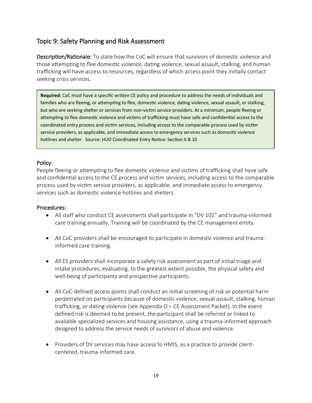### Topic 9: Safety Planning and Risk Assessment

Description/Rationale: To state how the CoC will ensure that survivors of domestic violence and those attempting to flee domestic violence, dating violence, sexual assault, stalking, and human trafficking will have access to resources, regardless of which access point they initially contact seeking crisis services.

**Required:** CoC must have a specific written CE policy and procedure to address the needs of individuals and families who are fleeing, or attempting to flee, domestic violence, dating violence, sexual assault, or stalking, but who are seeking shelter or services from non-victim service providers. At a minimum, people fleeing or attempting to flee domestic violence and victims of trafficking must have safe and confidential access to the coordinated entry process and victim services, including access to the comparable process used by victim service providers, as applicable, and immediate access to emergency services such as domestic violence hotlines and shelter. Source: HUD Coordinated Entry Notice: Section II.B.10

#### Policy:

People fleeing or attempting to flee domestic violence and victims of trafficking shall have safe and confidential access to the CE process and victim services, including access to the comparable process used by victim service providers, as applicable, and immediate access to emergency services such as domestic violence hotlines and shelters.

- All staff who conduct CE assessments shall participate in "DV 101" and trauma-informed care training annually. Training will be coordinated by the CE management entity.
- All CoC providers shall be encouraged to participate in domestic violence and traumainformed care training.
- All ES providers shall incorporate a safety risk assessment as part of initial triage and intake procedures, evaluating, to the greatest extent possible, the physical safety and well-being of participants and prospective participants.
- All CoC-defined access points shall conduct an initial screening of risk or potential harm perpetrated on participants because of domestic violence, sexual assault, stalking, human trafficking, or dating violence (see Appendix D – CE Assessment Packet). In the event defined risk is deemed to be present, the participant shall be referred or linked to available specialized services and housing assistance, using a trauma-informed approach designed to address the service needs of survivors of abuse and violence.
- Providers of DV services may have access to HMIS, as a practice to provide clientcentered, trauma-informed care.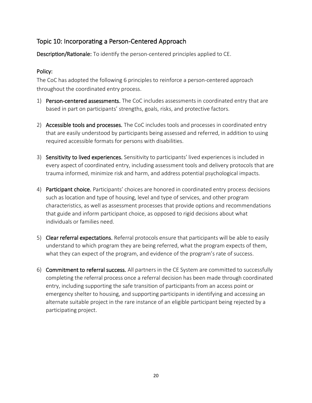### Topic 10: Incorporating a Person-Centered Approach

Description/Rationale: To identify the person-centered principles applied to CE.

#### Policy:

The CoC has adopted the following 6 principles to reinforce a person-centered approach throughout the coordinated entry process.

- 1) Person-centered assessments. The CoC includes assessments in coordinated entry that are based in part on participants' strengths, goals, risks, and protective factors.
- 2) Accessible tools and processes. The CoC includes tools and processes in coordinated entry that are easily understood by participants being assessed and referred, in addition to using required accessible formats for persons with disabilities.
- 3) Sensitivity to lived experiences. Sensitivity to participants' lived experiences is included in every aspect of coordinated entry, including assessment tools and delivery protocols that are trauma informed, minimize risk and harm, and address potential psychological impacts.
- 4) Participant choice. Participants' choices are honored in coordinated entry process decisions such as location and type of housing, level and type of services, and other program characteristics, as well as assessment processes that provide options and recommendations that guide and inform participant choice, as opposed to rigid decisions about what individuals or families need.
- 5) Clear referral expectations. Referral protocols ensure that participants will be able to easily understand to which program they are being referred, what the program expects of them, what they can expect of the program, and evidence of the program's rate of success.
- 6) Commitment to referral success. All partners in the CE System are committed to successfully completing the referral process once a referral decision has been made through coordinated entry, including supporting the safe transition of participants from an access point or emergency shelter to housing, and supporting participants in identifying and accessing an alternate suitable project in the rare instance of an eligible participant being rejected by a participating project.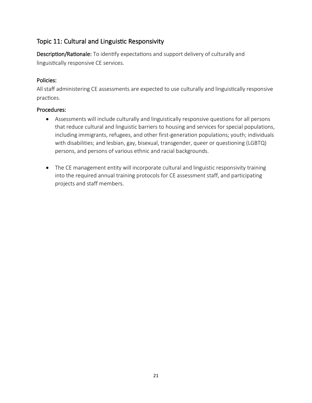### Topic 11: Cultural and Linguistic Responsivity

Description/Rationale: To identify expectations and support delivery of culturally and linguistically responsive CE services.

#### Policies:

All staff administering CE assessments are expected to use culturally and linguistically responsive practices.

- Assessments will include culturally and linguistically responsive questions for all persons that reduce cultural and linguistic barriers to housing and services for special populations, including immigrants, refugees, and other first-generation populations; youth; individuals with disabilities; and lesbian, gay, bisexual, transgender, queer or questioning (LGBTQ) persons, and persons of various ethnic and racial backgrounds.
- The CE management entity will incorporate cultural and linguistic responsivity training into the required annual training protocols for CE assessment staff, and participating projects and staff members.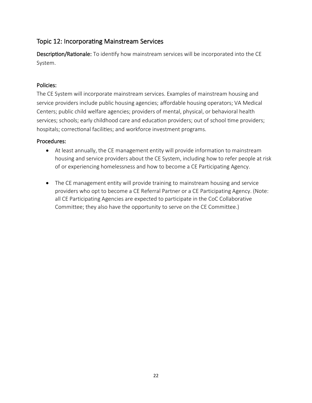### Topic 12: Incorporating Mainstream Services

Description/Rationale: To identify how mainstream services will be incorporated into the CE System.

#### Policies:

The CE System will incorporate mainstream services. Examples of mainstream housing and service providers include public housing agencies; affordable housing operators; VA Medical Centers; public child welfare agencies; providers of mental, physical, or behavioral health services; schools; early childhood care and education providers; out of school time providers; hospitals; correctional facilities; and workforce investment programs.

- At least annually, the CE management entity will provide information to mainstream housing and service providers about the CE System, including how to refer people at risk of or experiencing homelessness and how to become a CE Participating Agency.
- The CE management entity will provide training to mainstream housing and service providers who opt to become a CE Referral Partner or a CE Participating Agency. (Note: all CE Participating Agencies are expected to participate in the CoC Collaborative Committee; they also have the opportunity to serve on the CE Committee.)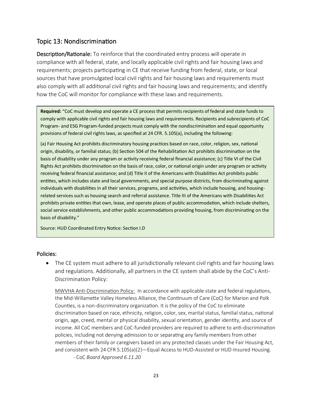### Topic 13: Nondiscrimination

Description/Rationale: To reinforce that the coordinated entry process will operate in compliance with all federal, state, and locally applicable civil rights and fair housing laws and requirements; projects participating in CE that receive funding from federal, state, or local sources that have promulgated local civil rights and fair housing laws and requirements must also comply with all additional civil rights and fair housing laws and requirements; and identify how the CoC will monitor for compliance with these laws and requirements.

**Required:** "CoC must develop and operate a CE process that permits recipients of federal and state funds to comply with applicable civil rights and fair housing laws and requirements. Recipients and subrecipients of CoC Program- and ESG Program-funded projects must comply with the nondiscrimination and equal opportunity provisions of federal civil rights laws, as specified at 24 CFR. 5.105(a), including the following:

(a) Fair Housing Act prohibits discriminatory housing practices based on race, color, religion, sex, national origin, disability, or familial status; (b) Section 504 of the Rehabilitation Act prohibits discrimination on the basis of disability under any program or activity receiving federal financial assistance; (c) Title VI of the Civil Rights Act prohibits discrimination on the basis of race, color, or national origin under any program or activity receiving federal financial assistance; and (d) Title II of the Americans with Disabilities Act prohibits public entities, which includes state and local governments, and special purpose districts, from discriminating against individuals with disabilities in all their services, programs, and activities, which include housing, and housingrelated services such as housing search and referral assistance. Title III of the Americans with Disabilities Act prohibits private entities that own, lease, and operate places of public accommodation, which include shelters, social service establishments, and other public accommodations providing housing, from discriminating on the basis of disability."

Source: HUD Coordinated Entry Notice: Section I.D

#### Policies:

• The CE system must adhere to all jurisdictionally relevant civil rights and fair housing laws and regulations. Additionally, all partners in the CE system shall abide by the CoC's Anti-Discrimination Policy:

MWVHA Anti-Discrimination Policy: In accordance with applicable state and federal regulations, the Mid-Willamette Valley Homeless Alliance, the Continuum of Care (CoC) for Marion and Polk Counties, is a non-discriminatory organization. It is the policy of the CoC to eliminate discrimination based on race, ethnicity, religion, color, sex, marital status, familial status, national origin, age, creed, mental or physical disability, sexual orientation, gender identity, and source of income. All CoC members and CoC-funded providers are required to adhere to anti-discrimination policies, including not denying admission to or separating any family members from other members of their family or caregivers based on any protected classes under the Fair Housing Act, and consistent with 24 CFR 5.105(a)(2)—Equal Access to HUD-Assisted or HUD-Insured Housing.

- CoC *Board Approved 6.11.20*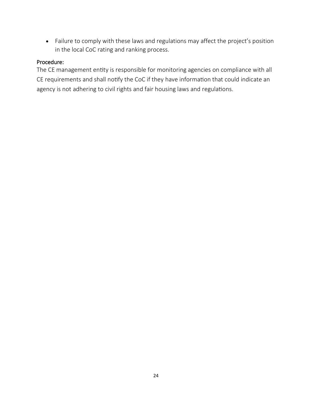• Failure to comply with these laws and regulations may affect the project's position in the local CoC rating and ranking process.

#### Procedure:

The CE management entity is responsible for monitoring agencies on compliance with all CE requirements and shall notify the CoC if they have information that could indicate an agency is not adhering to civil rights and fair housing laws and regulations.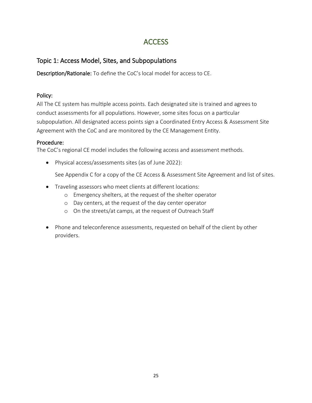# ACCESS

### Topic 1: Access Model, Sites, and Subpopulations

Description/Rationale: To define the CoC's local model for access to CE.

#### Policy:

All The CE system has multiple access points. Each designated site is trained and agrees to conduct assessments for all populations. However, some sites focus on a particular subpopulation. All designated access points sign a Coordinated Entry Access & Assessment Site Agreement with the CoC and are monitored by the CE Management Entity.

#### Procedure:

The CoC's regional CE model includes the following access and assessment methods.

• Physical access/assessments sites (as of June 2022):

See Appendix C for a copy of the CE Access & Assessment Site Agreement and list of sites.

- Traveling assessors who meet clients at different locations:
	- o Emergency shelters, at the request of the shelter operator
	- o Day centers, at the request of the day center operator
	- o On the streets/at camps, at the request of Outreach Staff
- Phone and teleconference assessments, requested on behalf of the client by other providers.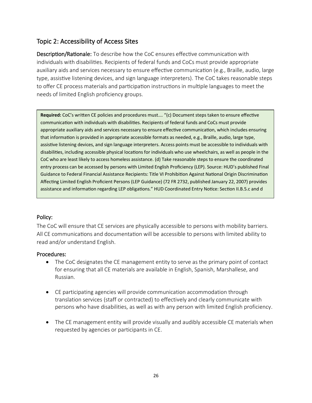### Topic 2: Accessibility of Access Sites

Description/Rationale: To describe how the CoC ensures effective communication with individuals with disabilities. Recipients of federal funds and CoCs must provide appropriate auxiliary aids and services necessary to ensure effective communication (e.g., Braille, audio, large type, assistive listening devices, and sign language interpreters). The CoC takes reasonable steps to offer CE process materials and participation instructions in multiple languages to meet the needs of limited English proficiency groups.

**Required:** CoC's written CE policies and procedures must…. "(c) Document steps taken to ensure effective communication with individuals with disabilities. Recipients of federal funds and CoCs must provide appropriate auxiliary aids and services necessary to ensure effective communication, which includes ensuring that information is provided in appropriate accessible formats as needed, e.g., Braille, audio, large type, assistive listening devices, and sign language interpreters. Access points must be accessible to individuals with disabilities, including accessible physical locations for individuals who use wheelchairs, as well as people in the CoC who are least likely to access homeless assistance. (d) Take reasonable steps to ensure the coordinated entry process can be accessed by persons with Limited English Proficiency (LEP). Source: HUD's published Final Guidance to Federal Financial Assistance Recipients: Title VI Prohibition Against National Origin Discrimination Affecting Limited English Proficient Persons (LEP Guidance) (72 FR 2732, published January 22, 2007) provides assistance and information regarding LEP obligations." HUD Coordinated Entry Notice: Section II.B.5.c and d

#### Policy:

The CoC will ensure that CE services are physically accessible to persons with mobility barriers. All CE communications and documentation will be accessible to persons with limited ability to read and/or understand English.

- The CoC designates the CE management entity to serve as the primary point of contact for ensuring that all CE materials are available in English, Spanish, Marshallese, and Russian.
- CE participating agencies will provide communication accommodation through translation services (staff or contracted) to effectively and clearly communicate with persons who have disabilities, as well as with any person with limited English proficiency.
- The CE management entity will provide visually and audibly accessible CE materials when requested by agencies or participants in CE.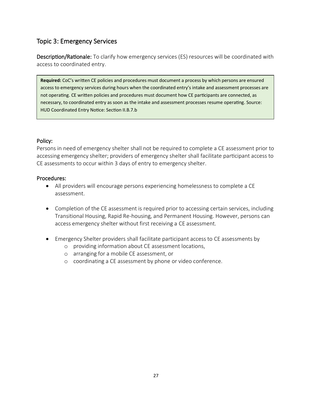### Topic 3: Emergency Services

Description/Rationale: To clarify how emergency services (ES) resources will be coordinated with access to coordinated entry.

**Required:** CoC's written CE policies and procedures must document a process by which persons are ensured access to emergency services during hours when the coordinated entry's intake and assessment processes are not operating. CE written policies and procedures must document how CE participants are connected, as necessary, to coordinated entry as soon as the intake and assessment processes resume operating. Source: HUD Coordinated Entry Notice: Section II.B.7.b

#### Policy:

Persons in need of emergency shelter shall not be required to complete a CE assessment prior to accessing emergency shelter; providers of emergency shelter shall facilitate participant access to CE assessments to occur within 3 days of entry to emergency shelter.

- All providers will encourage persons experiencing homelessness to complete a CE assessment.
- Completion of the CE assessment is required prior to accessing certain services, including Transitional Housing, Rapid Re-housing, and Permanent Housing. However, persons can access emergency shelter without first receiving a CE assessment.
- Emergency Shelter providers shall facilitate participant access to CE assessments by
	- o providing information about CE assessment locations,
	- o arranging for a mobile CE assessment, or
	- o coordinating a CE assessment by phone or video conference.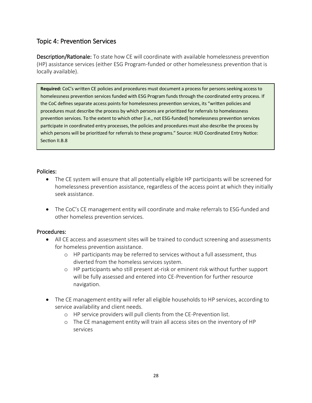### Topic 4: Prevention Services

Description/Rationale: To state how CE will coordinate with available homelessness prevention (HP) assistance services (either ESG Program-funded or other homelessness prevention that is locally available).

**Required:** CoC's written CE policies and procedures must document a process for persons seeking access to homelessness prevention services funded with ESG Program funds through the coordinated entry process. If the CoC defines separate access points for homelessness prevention services, its "written policies and procedures must describe the process by which persons are prioritized for referrals to homelessness prevention services. To the extent to which other [i.e., not ESG-funded] homelessness prevention services participate in coordinated entry processes, the policies and procedures must also describe the process by which persons will be prioritized for referrals to these programs." Source: HUD Coordinated Entry Notice: Section II.B.8

#### Policies:

- The CE system will ensure that all potentially eligible HP participants will be screened for homelessness prevention assistance, regardless of the access point at which they initially seek assistance.
- The CoC's CE management entity will coordinate and make referrals to ESG-funded and other homeless prevention services.

- All CE access and assessment sites will be trained to conduct screening and assessments for homeless prevention assistance.
	- o HP participants may be referred to services without a full assessment, thus diverted from the homeless services system.
	- o HP participants who still present at-risk or eminent risk without further support will be fully assessed and entered into CE-Prevention for further resource navigation.
- The CE management entity will refer all eligible households to HP services, according to service availability and client needs.
	- o HP service providers will pull clients from the CE-Prevention list.
	- o The CE management entity will train all access sites on the inventory of HP services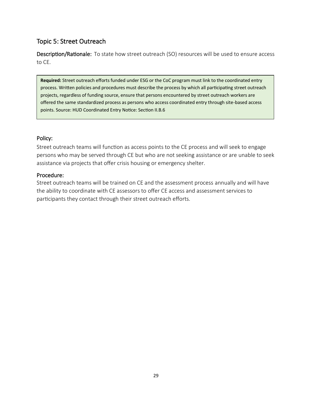### Topic 5: Street Outreach

Description/Rationale: To state how street outreach (SO) resources will be used to ensure access to CE.

**Required:** Street outreach efforts funded under ESG or the CoC program must link to the coordinated entry process. Written policies and procedures must describe the process by which all participating street outreach projects, regardless of funding source, ensure that persons encountered by street outreach workers are offered the same standardized process as persons who access coordinated entry through site-based access points. Source: HUD Coordinated Entry Notice: Section II.B.6

#### Policy:

Street outreach teams will function as access points to the CE process and will seek to engage persons who may be served through CE but who are not seeking assistance or are unable to seek assistance via projects that offer crisis housing or emergency shelter.

#### Procedure:

Street outreach teams will be trained on CE and the assessment process annually and will have the ability to coordinate with CE assessors to offer CE access and assessment services to participants they contact through their street outreach efforts.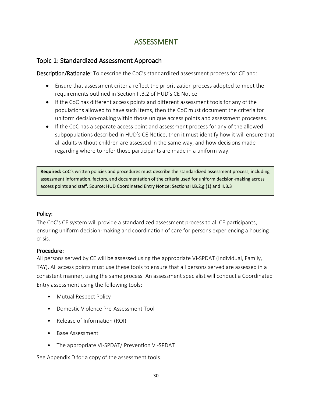# ASSESSMENT

### Topic 1: Standardized Assessment Approach

Description/Rationale: To describe the CoC's standardized assessment process for CE and:

- Ensure that assessment criteria reflect the prioritization process adopted to meet the requirements outlined in Section II.B.2 of HUD's CE Notice.
- If the CoC has different access points and different assessment tools for any of the populations allowed to have such items, then the CoC must document the criteria for uniform decision-making within those unique access points and assessment processes.
- If the CoC has a separate access point and assessment process for any of the allowed subpopulations described in HUD's CE Notice, then it must identify how it will ensure that all adults without children are assessed in the same way, and how decisions made regarding where to refer those participants are made in a uniform way.

**Required:** CoC's written policies and procedures must describe the standardized assessment process, including assessment information, factors, and documentation of the criteria used for uniform decision-making across access points and staff. Source: HUD Coordinated Entry Notice: Sections II.B.2.g (1) and II.B.3

#### Policy:

The CoC's CE system will provide a standardized assessment process to all CE participants, ensuring uniform decision-making and coordination of care for persons experiencing a housing crisis.

#### Procedure:

All persons served by CE will be assessed using the appropriate VI-SPDAT (Individual, Family, TAY). All access points must use these tools to ensure that all persons served are assessed in a consistent manner, using the same process. An assessment specialist will conduct a Coordinated Entry assessment using the following tools:

- Mutual Respect Policy
- Domestic Violence Pre-Assessment Tool
- Release of Information (ROI)
- Base Assessment
- The appropriate VI-SPDAT/ Prevention VI-SPDAT

See Appendix D for a copy of the assessment tools.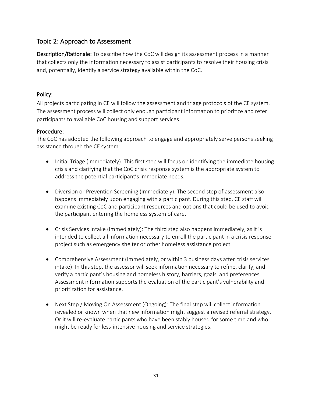### Topic 2: Approach to Assessment

Description/Rationale: To describe how the CoC will design its assessment process in a manner that collects only the information necessary to assist participants to resolve their housing crisis and, potentially, identify a service strategy available within the CoC.

#### Policy:

All projects participating in CE will follow the assessment and triage protocols of the CE system. The assessment process will collect only enough participant information to prioritize and refer participants to available CoC housing and support services.

#### Procedure:

The CoC has adopted the following approach to engage and appropriately serve persons seeking assistance through the CE system:

- Initial Triage (Immediately): This first step will focus on identifying the immediate housing crisis and clarifying that the CoC crisis response system is the appropriate system to address the potential participant's immediate needs.
- Diversion or Prevention Screening (Immediately): The second step of assessment also happens immediately upon engaging with a participant. During this step, CE staff will examine existing CoC and participant resources and options that could be used to avoid the participant entering the homeless system of care.
- Crisis Services Intake (Immediately): The third step also happens immediately, as it is intended to collect all information necessary to enroll the participant in a crisis response project such as emergency shelter or other homeless assistance project.
- Comprehensive Assessment (Immediately, or within 3 business days after crisis services intake): In this step, the assessor will seek information necessary to refine, clarify, and verify a participant's housing and homeless history, barriers, goals, and preferences. Assessment information supports the evaluation of the participant's vulnerability and prioritization for assistance.
- Next Step / Moving On Assessment (Ongoing): The final step will collect information revealed or known when that new information might suggest a revised referral strategy. Or it will re-evaluate participants who have been stably housed for some time and who might be ready for less-intensive housing and service strategies.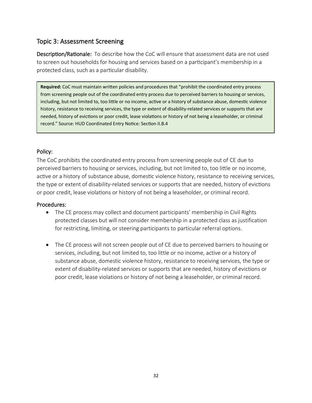### Topic 3: Assessment Screening

Description/Rationale: To describe how the CoC will ensure that assessment data are not used to screen out households for housing and services based on a participant's membership in a protected class, such as a particular disability.

**Required:** CoC must maintain written policies and procedures that "prohibit the coordinated entry process from screening people out of the coordinated entry process due to perceived barriers to housing or services, including, but not limited to, too little or no income, active or a history of substance abuse, domestic violence history, resistance to receiving services, the type or extent of disability-related services or supports that are needed, history of evictions or poor credit, lease violations or history of not being a leaseholder, or criminal record." Source: HUD Coordinated Entry Notice: Section II.B.4

#### Policy:

The CoC prohibits the coordinated entry process from screening people out of CE due to perceived barriers to housing or services, including, but not limited to, too little or no income, active or a history of substance abuse, domestic violence history, resistance to receiving services, the type or extent of disability-related services or supports that are needed, history of evictions or poor credit, lease violations or history of not being a leaseholder, or criminal record.

- The CE process may collect and document participants' membership in Civil Rights protected classes but will not consider membership in a protected class as justification for restricting, limiting, or steering participants to particular referral options.
- The CE process will not screen people out of CE due to perceived barriers to housing or services, including, but not limited to, too little or no income, active or a history of substance abuse, domestic violence history, resistance to receiving services, the type or extent of disability-related services or supports that are needed, history of evictions or poor credit, lease violations or history of not being a leaseholder, or criminal record.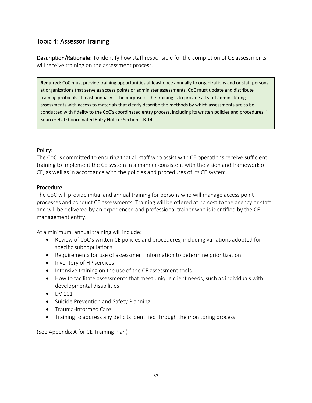### Topic 4: Assessor Training

Description/Rationale: To identify how staff responsible for the completion of CE assessments will receive training on the assessment process.

**Required:** CoC must provide training opportunities at least once annually to organizations and or staff persons at organizations that serve as access points or administer assessments. CoC must update and distribute training protocols at least annually. "The purpose of the training is to provide all staff administering assessments with access to materials that clearly describe the methods by which assessments are to be conducted with fidelity to the CoC's coordinated entry process, including its written policies and procedures." Source: HUD Coordinated Entry Notice: Section II.B.14

#### Policy:

The CoC is committed to ensuring that all staff who assist with CE operations receive sufficient training to implement the CE system in a manner consistent with the vision and framework of CE, as well as in accordance with the policies and procedures of its CE system.

#### Procedure:

The CoC will provide initial and annual training for persons who will manage access point processes and conduct CE assessments. Training will be offered at no cost to the agency or staff and will be delivered by an experienced and professional trainer who is identified by the CE management entity.

At a minimum, annual training will include:

- Review of CoC's written CE policies and procedures, including variations adopted for specific subpopulations
- Requirements for use of assessment information to determine prioritization
- Inventory of HP services
- Intensive training on the use of the CE assessment tools
- How to facilitate assessments that meet unique client needs, such as individuals with developmental disabilities
- DV 101
- Suicide Prevention and Safety Planning
- Trauma-informed Care
- Training to address any deficits identified through the monitoring process

(See Appendix A for CE Training Plan)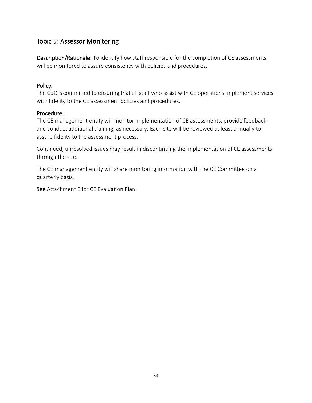### Topic 5: Assessor Monitoring

Description/Rationale: To identify how staff responsible for the completion of CE assessments will be monitored to assure consistency with policies and procedures.

#### Policy:

The CoC is committed to ensuring that all staff who assist with CE operations implement services with fidelity to the CE assessment policies and procedures.

#### Procedure:

The CE management entity will monitor implementation of CE assessments, provide feedback, and conduct additional training, as necessary. Each site will be reviewed at least annually to assure fidelity to the assessment process.

Continued, unresolved issues may result in discontinuing the implementation of CE assessments through the site.

The CE management entity will share monitoring information with the CE Committee on a quarterly basis.

See Attachment E for CE Evaluation Plan.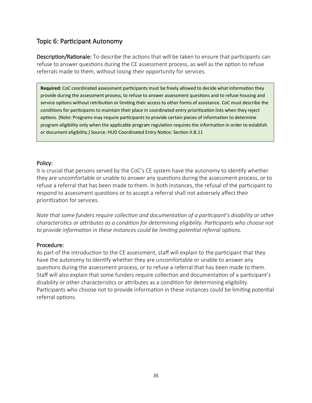### Topic 6: Participant Autonomy

Description/Rationale: To describe the actions that will be taken to ensure that participants can refuse to answer questions during the CE assessment process, as well as the option to refuse referrals made to them, without losing their opportunity for services.

**Required:** CoC coordinated assessment participants must be freely allowed to decide what information they provide during the assessment process, to refuse to answer assessment questions and to refuse housing and service options without retribution or limiting their access to other forms of assistance. CoC must describe the conditions for participants to maintain their place in coordinated entry prioritization lists when they reject options. (Note: Programs may require participants to provide certain pieces of information to determine program eligibility only when the applicable program regulation requires the information in order to establish or document eligibility.) Source: HUD Coordinated Entry Notice: Section II.B.11

#### Policy:

It is crucial that persons served by the CoC's CE system have the autonomy to identify whether they are uncomfortable or unable to answer any questions during the assessment process, or to refuse a referral that has been made to them. In both instances, the refusal of the participant to respond to assessment questions or to accept a referral shall not adversely affect their prioritization for services.

*Note that some funders require collection and documentation of a participant's disability or other characteristics or attributes as a condition for determining eligibility. Participants who choose not to provide information in these instances could be limiting potential referral options.*

#### Procedure:

As part of the introduction to the CE assessment, staff will explain to the participant that they have the autonomy to identify whether they are uncomfortable or unable to answer any questions during the assessment process, or to refuse a referral that has been made to them. Staff will also explain that some funders require collection and documentation of a participant's disability or other characteristics or attributes as a condition for determining eligibility. Participants who choose not to provide information in these instances could be limiting potential referral options.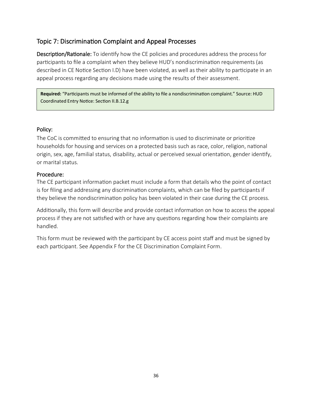### Topic 7: Discrimination Complaint and Appeal Processes

Description/Rationale: To identify how the CE policies and procedures address the process for participants to file a complaint when they believe HUD's nondiscrimination requirements (as described in CE Notice Section I.D) have been violated, as well as their ability to participate in an appeal process regarding any decisions made using the results of their assessment.

**Required:** "Participants must be informed of the ability to file a nondiscrimination complaint." Source: HUD Coordinated Entry Notice: Section II.B.12.g

#### Policy:

The CoC is committed to ensuring that no information is used to discriminate or prioritize households for housing and services on a protected basis such as race, color, religion, national origin, sex, age, familial status, disability, actual or perceived sexual orientation, gender identify, or marital status.

#### Procedure:

The CE participant information packet must include a form that details who the point of contact is for filing and addressing any discrimination complaints, which can be filed by participants if they believe the nondiscrimination policy has been violated in their case during the CE process.

Additionally, this form will describe and provide contact information on how to access the appeal process if they are not satisfied with or have any questions regarding how their complaints are handled.

This form must be reviewed with the participant by CE access point staff and must be signed by each participant. See Appendix F for the CE Discrimination Complaint Form.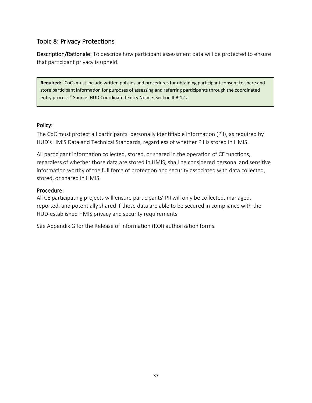### Topic 8: Privacy Protections

Description/Rationale: To describe how participant assessment data will be protected to ensure that participant privacy is upheld.

**Required:** "CoCs must include written policies and procedures for obtaining participant consent to share and store participant information for purposes of assessing and referring participants through the coordinated entry process." Source: HUD Coordinated Entry Notice: Section II.B.12.a

#### Policy:

The CoC must protect all participants' personally identifiable information (PII), as required by HUD's HMIS Data and Technical Standards, regardless of whether PII is stored in HMIS.

All participant information collected, stored, or shared in the operation of CE functions, regardless of whether those data are stored in HMIS, shall be considered personal and sensitive information worthy of the full force of protection and security associated with data collected, stored, or shared in HMIS.

#### Procedure:

All CE participating projects will ensure participants' PII will only be collected, managed, reported, and potentially shared if those data are able to be secured in compliance with the HUD-established HMIS privacy and security requirements.

See Appendix G for the Release of Information (ROI) authorization forms.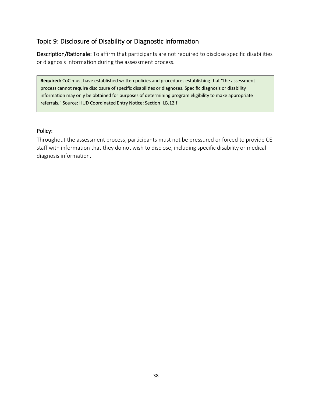### Topic 9: Disclosure of Disability or Diagnostic Information

Description/Rationale: To affirm that participants are not required to disclose specific disabilities or diagnosis information during the assessment process.

**Required:** CoC must have established written policies and procedures establishing that "the assessment process cannot require disclosure of specific disabilities or diagnoses. Specific diagnosis or disability information may only be obtained for purposes of determining program eligibility to make appropriate referrals." Source: HUD Coordinated Entry Notice: Section II.B.12.f

#### Policy:

Throughout the assessment process, participants must not be pressured or forced to provide CE staff with information that they do not wish to disclose, including specific disability or medical diagnosis information.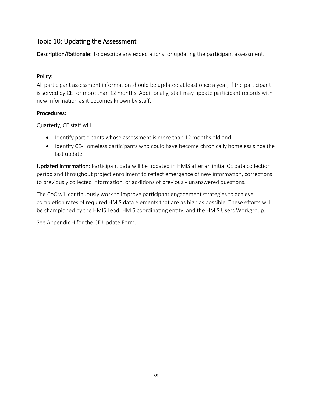### Topic 10: Updating the Assessment

Description/Rationale: To describe any expectations for updating the participant assessment.

#### Policy:

All participant assessment information should be updated at least once a year, if the participant is served by CE for more than 12 months. Additionally, staff may update participant records with new information as it becomes known by staff.

#### Procedures:

Quarterly, CE staff will

- Identify participants whose assessment is more than 12 months old and
- Identify CE-Homeless participants who could have become chronically homeless since the last update

Updated Information: Participant data will be updated in HMIS after an initial CE data collection period and throughout project enrollment to reflect emergence of new information, corrections to previously collected information, or additions of previously unanswered questions.

The CoC will continuously work to improve participant engagement strategies to achieve completion rates of required HMIS data elements that are as high as possible. These efforts will be championed by the HMIS Lead, HMIS coordinating entity, and the HMIS Users Workgroup.

See Appendix H for the CE Update Form.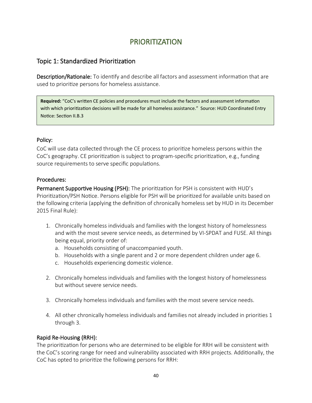## PRIORITIZATION

### Topic 1: Standardized Prioritization

Description/Rationale: To identify and describe all factors and assessment information that are used to prioritize persons for homeless assistance.

**Required:** "CoC's written CE policies and procedures must include the factors and assessment information with which prioritization decisions will be made for all homeless assistance." Source: HUD Coordinated Entry Notice: Section II.B.3

#### Policy:

CoC will use data collected through the CE process to prioritize homeless persons within the CoC's geography. CE prioritization is subject to program-specific prioritization, e.g., funding source requirements to serve specific populations.

#### Procedures:

Permanent Supportive Housing (PSH): The prioritization for PSH is consistent with HUD's Prioritization/PSH Notice. Persons eligible for PSH will be prioritized for available units based on the following criteria (applying the definition of chronically homeless set by HUD in its December 2015 Final Rule):

- 1. Chronically homeless individuals and families with the longest history of homelessness and with the most severe service needs, as determined by VI-SPDAT and FUSE. All things being equal, priority order of:
	- a. Households consisting of unaccompanied youth.
	- b. Households with a single parent and 2 or more dependent children under age 6.
	- c. Households experiencing domestic violence.
- 2. Chronically homeless individuals and families with the longest history of homelessness but without severe service needs.
- 3. Chronically homeless individuals and families with the most severe service needs.
- 4. All other chronically homeless individuals and families not already included in priorities 1 through 3.

#### Rapid Re-Housing (RRH):

The prioritization for persons who are determined to be eligible for RRH will be consistent with the CoC's scoring range for need and vulnerability associated with RRH projects. Additionally, the CoC has opted to prioritize the following persons for RRH: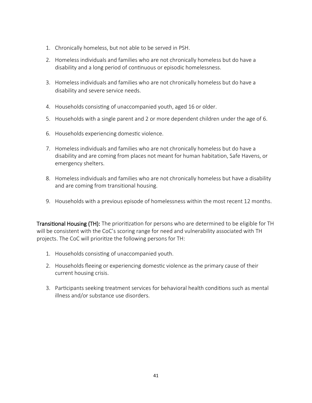- 1. Chronically homeless, but not able to be served in PSH.
- 2. Homeless individuals and families who are not chronically homeless but do have a disability and a long period of continuous or episodic homelessness.
- 3. Homeless individuals and families who are not chronically homeless but do have a disability and severe service needs.
- 4. Households consisting of unaccompanied youth, aged 16 or older.
- 5. Households with a single parent and 2 or more dependent children under the age of 6.
- 6. Households experiencing domestic violence.
- 7. Homeless individuals and families who are not chronically homeless but do have a disability and are coming from places not meant for human habitation, Safe Havens, or emergency shelters.
- 8. Homeless individuals and families who are not chronically homeless but have a disability and are coming from transitional housing.
- 9. Households with a previous episode of homelessness within the most recent 12 months.

Transitional Housing (TH): The prioritization for persons who are determined to be eligible for TH will be consistent with the CoC's scoring range for need and vulnerability associated with TH projects. The CoC will prioritize the following persons for TH:

- 1. Households consisting of unaccompanied youth.
- 2. Households fleeing or experiencing domestic violence as the primary cause of their current housing crisis.
- 3. Participants seeking treatment services for behavioral health conditions such as mental illness and/or substance use disorders.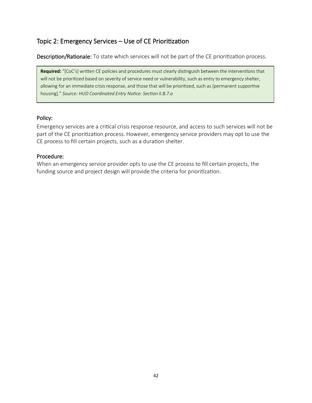### Topic 2: Emergency Services – Use of CE Prioritization

Description/Rationale: To state which services will not be part of the CE prioritization process.

**Required:** "[CoC's] written CE policies and procedures must clearly distinguish between the interventions that will not be prioritized based on severity of service need or vulnerability, such as entry to emergency shelter, allowing for an immediate crisis response, and those that will be prioritized, such as [permanent supportive housing]." *Source: HUD Coordinated Entry Notice: Section II.B.7.a*

#### Policy:

Emergency services are a critical crisis response resource, and access to such services will not be part of the CE prioritization process. However, emergency service providers may opt to use the CE process to fill certain projects, such as a duration shelter.

#### Procedure:

When an emergency service provider opts to use the CE process to fill certain projects, the funding source and project design will provide the criteria for prioritization.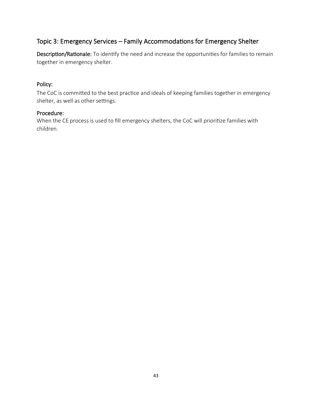# Topic 3: Emergency Services – Family Accommodations for Emergency Shelter

Description/Rationale: To identify the need and increase the opportunities for families to remain together in emergency shelter.

#### Policy:

The CoC is committed to the best practice and ideals of keeping families together in emergency shelter, as well as other settings.

#### Procedure:

When the CE process is used to fill emergency shelters, the CoC will prioritize families with children.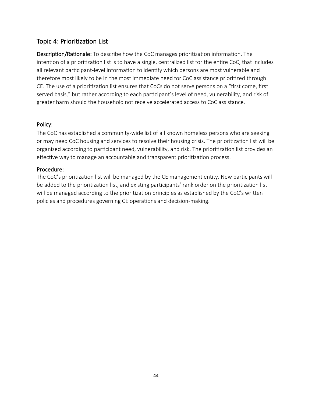### Topic 4: Prioritization List

Description/Rationale: To describe how the CoC manages prioritization information. The intention of a prioritization list is to have a single, centralized list for the entire CoC, that includes all relevant participant-level information to identify which persons are most vulnerable and therefore most likely to be in the most immediate need for CoC assistance prioritized through CE. The use of a prioritization list ensures that CoCs do not serve persons on a "first come, first served basis," but rather according to each participant's level of need, vulnerability, and risk of greater harm should the household not receive accelerated access to CoC assistance.

#### Policy:

The CoC has established a community-wide list of all known homeless persons who are seeking or may need CoC housing and services to resolve their housing crisis. The prioritization list will be organized according to participant need, vulnerability, and risk. The prioritization list provides an effective way to manage an accountable and transparent prioritization process.

#### Procedure:

The CoC's prioritization list will be managed by the CE management entity. New participants will be added to the prioritization list, and existing participants' rank order on the prioritization list will be managed according to the prioritization principles as established by the CoC's written policies and procedures governing CE operations and decision-making.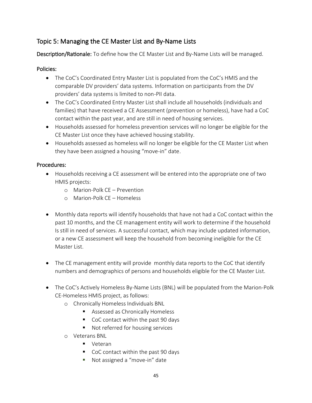### Topic 5: Managing the CE Master List and By-Name Lists

Description/Rationale: To define how the CE Master List and By-Name Lists will be managed.

#### Policies:

- The CoC's Coordinated Entry Master List is populated from the CoC's HMIS and the comparable DV providers' data systems. Information on participants from the DV providers' data systems is limited to non-PII data.
- The CoC's Coordinated Entry Master List shall include all households (individuals and families) that have received a CE Assessment (prevention or homeless), have had a CoC contact within the past year, and are still in need of housing services.
- Households assessed for homeless prevention services will no longer be eligible for the CE Master List once they have achieved housing stability.
- Households assessed as homeless will no longer be eligible for the CE Master List when they have been assigned a housing "move-in" date.

- Households receiving a CE assessment will be entered into the appropriate one of two HMIS projects:
	- o Marion-Polk CE Prevention
	- o Marion-Polk CE Homeless
- Monthly data reports will identify households that have not had a CoC contact within the past 10 months, and the CE management entity will work to determine if the household Is still in need of services. A successful contact, which may include updated information, or a new CE assessment will keep the household from becoming ineligible for the CE Master List.
- The CE management entity will provide monthly data reports to the CoC that identify numbers and demographics of persons and households eligible for the CE Master List.
- The CoC's Actively Homeless By-Name Lists (BNL) will be populated from the Marion-Polk CE-Homeless HMIS project, as follows:
	- o Chronically Homeless Individuals BNL
		- Assessed as Chronically Homeless
		- CoC contact within the past 90 days
		- Not referred for housing services
	- o Veterans BNL
		- Veteran
		- CoC contact within the past 90 days
		- Not assigned a "move-in" date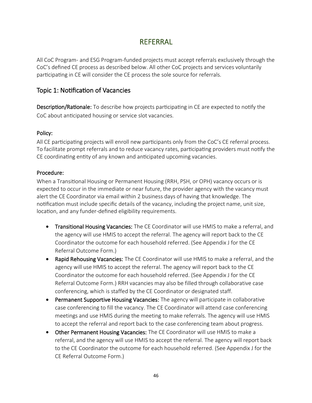# REFERRAL

All CoC Program- and ESG Program-funded projects must accept referrals exclusively through the CoC's defined CE process as described below. All other CoC projects and services voluntarily participating in CE will consider the CE process the sole source for referrals.

### Topic 1: Notification of Vacancies

Description/Rationale: To describe how projects participating in CE are expected to notify the CoC about anticipated housing or service slot vacancies.

#### Policy:

All CE participating projects will enroll new participants only from the CoC's CE referral process. To facilitate prompt referrals and to reduce vacancy rates, participating providers must notify the CE coordinating entity of any known and anticipated upcoming vacancies.

#### Procedure:

When a Transitional Housing or Permanent Housing (RRH, PSH, or OPH) vacancy occurs or is expected to occur in the immediate or near future, the provider agency with the vacancy must alert the CE Coordinator via email within 2 business days of having that knowledge. The notification must include specific details of the vacancy, including the project name, unit size, location, and any funder-defined eligibility requirements.

- Transitional Housing Vacancies: The CE Coordinator will use HMIS to make a referral, and the agency will use HMIS to accept the referral. The agency will report back to the CE Coordinator the outcome for each household referred. (See Appendix J for the CE Referral Outcome Form.)
- Rapid Rehousing Vacancies: The CE Coordinator will use HMIS to make a referral, and the agency will use HMIS to accept the referral. The agency will report back to the CE Coordinator the outcome for each household referred. (See Appendix J for the CE Referral Outcome Form.) RRH vacancies may also be filled through collaborative case conferencing, which is staffed by the CE Coordinator or designated staff.
- Permanent Supportive Housing Vacancies: The agency will participate in collaborative case conferencing to fill the vacancy. The CE Coordinator will attend case conferencing meetings and use HMIS during the meeting to make referrals. The agency will use HMIS to accept the referral and report back to the case conferencing team about progress.
- Other Permanent Housing Vacancies: The CE Coordinator will use HMIS to make a referral, and the agency will use HMIS to accept the referral. The agency will report back to the CE Coordinator the outcome for each household referred. (See Appendix J for the CE Referral Outcome Form.)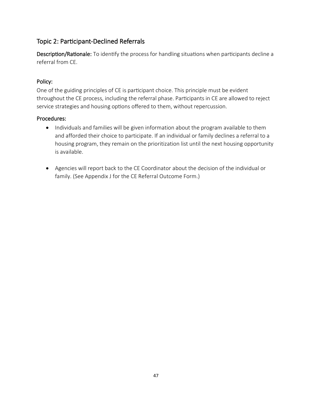### Topic 2: Participant-Declined Referrals

Description/Rationale: To identify the process for handling situations when participants decline a referral from CE.

### Policy:

One of the guiding principles of CE is participant choice. This principle must be evident throughout the CE process, including the referral phase. Participants in CE are allowed to reject service strategies and housing options offered to them, without repercussion.

- Individuals and families will be given information about the program available to them and afforded their choice to participate. If an individual or family declines a referral to a housing program, they remain on the prioritization list until the next housing opportunity is available.
- Agencies will report back to the CE Coordinator about the decision of the individual or family. (See Appendix J for the CE Referral Outcome Form.)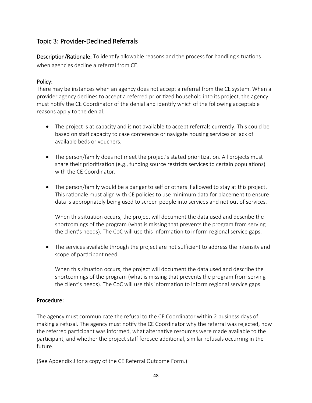### Topic 3: Provider-Declined Referrals

Description/Rationale: To identify allowable reasons and the process for handling situations when agencies decline a referral from CE.

#### Policy:

There may be instances when an agency does not accept a referral from the CE system. When a provider agency declines to accept a referred prioritized household into its project, the agency must notify the CE Coordinator of the denial and identify which of the following acceptable reasons apply to the denial.

- The project is at capacity and is not available to accept referrals currently. This could be based on staff capacity to case conference or navigate housing services or lack of available beds or vouchers.
- The person/family does not meet the project's stated prioritization. All projects must share their prioritization (e.g., funding source restricts services to certain populations) with the CE Coordinator.
- The person/family would be a danger to self or others if allowed to stay at this project. This rationale must align with CE policies to use minimum data for placement to ensure data is appropriately being used to screen people into services and not out of services.

When this situation occurs, the project will document the data used and describe the shortcomings of the program (what is missing that prevents the program from serving the client's needs). The CoC will use this information to inform regional service gaps.

• The services available through the project are not sufficient to address the intensity and scope of participant need.

When this situation occurs, the project will document the data used and describe the shortcomings of the program (what is missing that prevents the program from serving the client's needs). The CoC will use this information to inform regional service gaps.

#### Procedure:

The agency must communicate the refusal to the CE Coordinator within 2 business days of making a refusal. The agency must notify the CE Coordinator why the referral was rejected, how the referred participant was informed, what alternative resources were made available to the participant, and whether the project staff foresee additional, similar refusals occurring in the future.

(See Appendix J for a copy of the CE Referral Outcome Form.)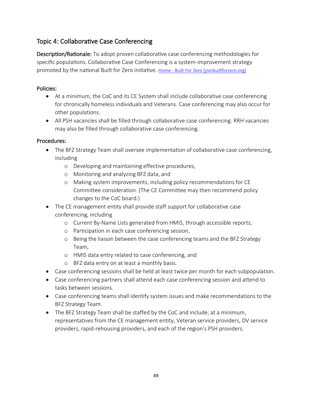### Topic 4: Collaborative Case Conferencing

Description/Rationale: To adopt proven collaborative case conferencing methodologies for specific populations. Collaborative Case Conferencing is a system-improvement strategy promoted by the national Built for Zero initiative. Home - [Built For Zero \(joinbuiltforzero.org\)](https://www.joinbuiltforzero.org/)

#### Policies:

- At a minimum, the CoC and its CE System shall include collaborative case conferencing for chronically homeless individuals and Veterans. Case conferencing may also occur for other populations.
- All PSH vacancies shall be filled through collaborative case conferencing. RRH vacancies may also be filled through collaborative case conferencing.

- The BFZ Strategy Team shall oversee implementation of collaborative case conferencing, including
	- o Developing and maintaining effective procedures,
	- o Monitoring and analyzing BFZ data, and
	- o Making system improvements, including policy recommendations for CE Committee consideration. (The CE Committee may then recommend policy changes to the CoC board.)
- The CE management entity shall provide staff support for collaborative case conferencing, including
	- o Current By-Name Lists generated from HMIS, through accessible reports,
	- o Participation in each case conferencing session,
	- o Being the liaison between the case conferencing teams and the BFZ Strategy Team,
	- o HMIS data entry related to case conferencing, and
	- o BFZ data entry on at least a monthly basis.
- Case conferencing sessions shall be held at least twice per month for each subpopulation.
- Case conferencing partners shall attend each case conferencing session and attend to tasks between sessions.
- Case conferencing teams shall identify system issues and make recommendations to the BFZ Strategy Team.
- The BFZ Strategy Team shall be staffed by the CoC and include, at a minimum, representatives from the CE management entity, Veteran service providers, DV service providers, rapid-rehousing providers, and each of the region's PSH providers.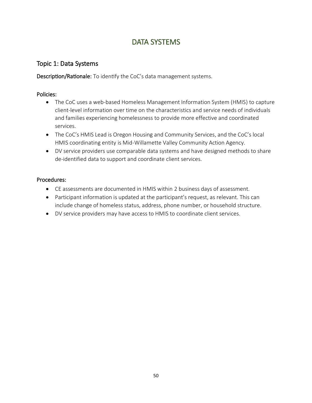# DATA SYSTEMS

### Topic 1: Data Systems

Description/Rationale: To identify the CoC's data management systems.

#### Policies:

- The CoC uses a web-based Homeless Management Information System (HMIS) to capture client-level information over time on the characteristics and service needs of individuals and families experiencing homelessness to provide more effective and coordinated services.
- The CoC's HMIS Lead is Oregon Housing and Community Services, and the CoC's local HMIS coordinating entity is Mid-Willamette Valley Community Action Agency.
- DV service providers use comparable data systems and have designed methods to share de-identified data to support and coordinate client services.

- CE assessments are documented in HMIS within 2 business days of assessment.
- Participant information is updated at the participant's request, as relevant. This can include change of homeless status, address, phone number, or household structure.
- DV service providers may have access to HMIS to coordinate client services.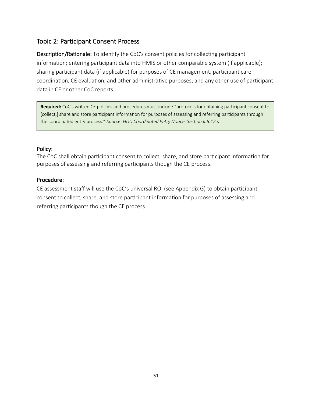### Topic 2: Participant Consent Process

Description/Rationale: To identify the CoC's consent policies for collecting participant information; entering participant data into HMIS or other comparable system (if applicable); sharing participant data (if applicable) for purposes of CE management, participant care coordination, CE evaluation, and other administrative purposes; and any other use of participant data in CE or other CoC reports.

**Required:** CoC's written CE policies and procedures must include "protocols for obtaining participant consent to [collect,] share and store participant information for purposes of assessing and referring participants through the coordinated entry process." *Source: HUD Coordinated Entry Notice: Section II.B.12.a*

#### Policy:

The CoC shall obtain participant consent to collect, share, and store participant information for purposes of assessing and referring participants though the CE process.

#### Procedure:

CE assessment staff will use the CoC's universal ROI (see Appendix G) to obtain participant consent to collect, share, and store participant information for purposes of assessing and referring participants though the CE process.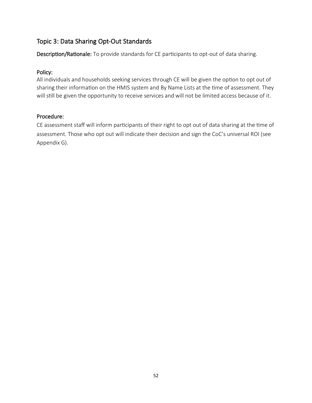### Topic 3: Data Sharing Opt-Out Standards

Description/Rationale: To provide standards for CE participants to opt-out of data sharing.

#### Policy:

All individuals and households seeking services through CE will be given the option to opt out of sharing their information on the HMIS system and By Name Lists at the time of assessment. They will still be given the opportunity to receive services and will not be limited access because of it.

#### Procedure:

CE assessment staff will inform participants of their right to opt out of data sharing at the time of assessment. Those who opt out will indicate their decision and sign the CoC's universal ROI (see Appendix G).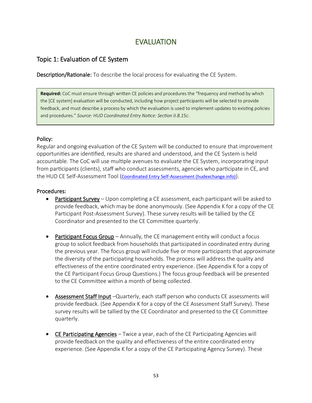# EVALUATION

### Topic 1: Evaluation of CE System

Description/Rationale: To describe the local process for evaluating the CE System.

**Required:** CoC must ensure through written CE policies and procedures the "frequency and method by which the [CE system] evaluation will be conducted, including how project participants will be selected to provide feedback, and must describe a process by which the evaluation is used to implement updates to existing policies and procedures." *Source: HUD Coordinated Entry Notice: Section II.B.15c.*

#### Policy:

Regular and ongoing evaluation of the CE System will be conducted to ensure that improvement opportunities are identified, results are shared and understood, and the CE System is held accountable. The CoC will use multiple avenues to evaluate the CE System, incorporating input from participants (clients), staff who conduct assessments, agencies who participate in CE, and the HUD CE Self-Assessment Tool ([Coordinated Entry Self-Assessment \(hudexchange.info\)](https://files.hudexchange.info/resources/documents/coordinated-entry-self-assessment.pdf)).

- Participant Survey Upon completing a CE assessment, each participant will be asked to provide feedback, which may be done anonymously. (See Appendix K for a copy of the CE Participant Post-Assessment Survey). These survey results will be tallied by the CE Coordinator and presented to the CE Committee quarterly.
- Participant Focus Group Annually, the CE management entity will conduct a focus group to solicit feedback from households that participated in coordinated entry during the previous year. The focus group will include five or more participants that approximate the diversity of the participating households. The process will address the quality and effectiveness of the entire coordinated entry experience. (See Appendix K for a copy of the CE Participant Focus Group Questions.) The focus group feedback will be presented to the CE Committee within a month of being collected.
- Assessment Staff Input Quarterly, each staff person who conducts CE assessments will provide feedback. (See Appendix K for a copy of the CE Assessment Staff Survey). These survey results will be tallied by the CE Coordinator and presented to the CE Committee quarterly.
- CE Participating Agencies Twice a year, each of the CE Participating Agencies will provide feedback on the quality and effectiveness of the entire coordinated entry experience. (See Appendix K for a copy of the CE Participating Agency Survey). These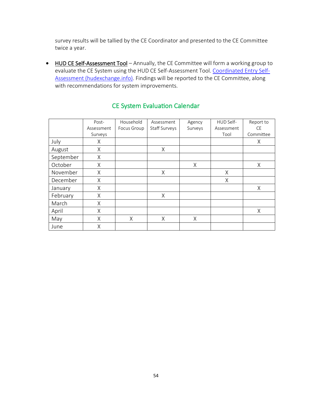survey results will be tallied by the CE Coordinator and presented to the CE Committee twice a year.

• HUD CE Self-Assessment Tool - Annually, the CE Committee will form a working group to evaluate the CE System using the HUD CE Self-Assessment Tool. [Coordinated Entry Self-](https://files.hudexchange.info/resources/documents/coordinated-entry-self-assessment.pdf)[Assessment \(hudexchange.info\).](https://files.hudexchange.info/resources/documents/coordinated-entry-self-assessment.pdf) Findings will be reported to the CE Committee, along with recommendations for system improvements.

|           | Post-      | Household   | Assessment    | Agency  | HUD Self-  | Report to |
|-----------|------------|-------------|---------------|---------|------------|-----------|
|           | Assessment | Focus Group | Staff Surveys | Surveys | Assessment | <b>CE</b> |
|           | Surveys    |             |               |         | Tool       | Committee |
| July      | X          |             |               |         |            | Χ         |
| August    | X          |             | Χ             |         |            |           |
| September | Χ          |             |               |         |            |           |
| October   | Χ          |             |               | X       |            | X         |
| November  | X          |             | X             |         | X          |           |
| December  | Χ          |             |               |         | Χ          |           |
| January   | X          |             |               |         |            | X         |
| February  | X          |             | X             |         |            |           |
| March     | X          |             |               |         |            |           |
| April     | X          |             |               |         |            | X         |
| May       | Χ          | X           | Χ             | Χ       |            |           |
| June      | Χ          |             |               |         |            |           |

### CE System Evaluation Calendar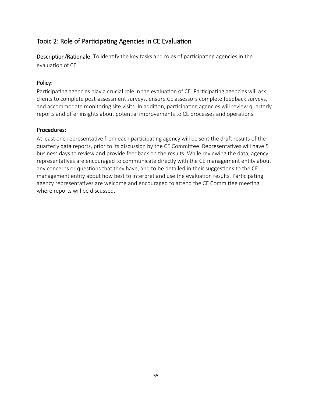### Topic 2: Role of Participating Agencies in CE Evaluation

Description/Rationale: To identify the key tasks and roles of participating agencies in the evaluation of CE.

#### Policy:

Participating agencies play a crucial role in the evaluation of CE. Participating agencies will ask clients to complete post-assessment surveys, ensure CE assessors complete feedback surveys, and accommodate monitoring site visits. In addition, participating agencies will review quarterly reports and offer insights about potential improvements to CE processes and operations.

#### Procedures:

At least one representative from each participating agency will be sent the draft results of the quarterly data reports, prior to its discussion by the CE Committee. Representatives will have 5 business days to review and provide feedback on the results. While reviewing the data, agency representatives are encouraged to communicate directly with the CE management entity about any concerns or questions that they have, and to be detailed in their suggestions to the CE management entity about how best to interpret and use the evaluation results. Participating agency representatives are welcome and encouraged to attend the CE Committee meeting where reports will be discussed.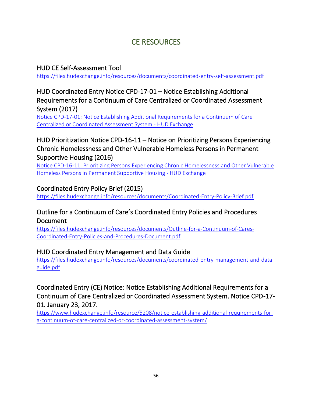# CE RESOURCES

### HUD CE Self-Assessment Tool

<https://files.hudexchange.info/resources/documents/coordinated-entry-self-assessment.pdf>

### HUD Coordinated Entry Notice CPD-17-01 – Notice Establishing Additional Requirements for a Continuum of Care Centralized or Coordinated Assessment System (2017)

[Notice CPD-17-01: Notice Establishing Additional Requirements for a Continuum of Care](https://www.hudexchange.info/resource/5208/notice-establishing-additional-requirements-for-a-continuum-of-care-centralized-or-coordinated-assessment-system/)  [Centralized or Coordinated Assessment System -](https://www.hudexchange.info/resource/5208/notice-establishing-additional-requirements-for-a-continuum-of-care-centralized-or-coordinated-assessment-system/) HUD Exchange

### HUD Prioritization Notice CPD-16-11 – Notice on Prioritizing Persons Experiencing Chronic Homelessness and Other Vulnerable Homeless Persons in Permanent Supportive Housing (2016)

[Notice CPD-16-11: Prioritizing Persons Experiencing Chronic Homelessness and Other Vulnerable](https://www.hudexchange.info/resource/5108/notice-cpd-16-11-prioritizing-persons-experiencing-chronic-homelessness-and-other-vulnerable-homeless-persons-in-psh/)  [Homeless Persons in Permanent Supportive Housing -](https://www.hudexchange.info/resource/5108/notice-cpd-16-11-prioritizing-persons-experiencing-chronic-homelessness-and-other-vulnerable-homeless-persons-in-psh/) HUD Exchange

### Coordinated Entry Policy Brief (2015)

<https://files.hudexchange.info/resources/documents/Coordinated-Entry-Policy-Brief.pdf>

### Outline for a Continuum of Care's Coordinated Entry Policies and Procedures Document

[https://files.hudexchange.info/resources/documents/Outline-for-a-Continuum-of-Cares-](https://files.hudexchange.info/resources/documents/Outline-for-a-Continuum-of-Cares-Coordinated-Entry-Policies-and-Procedures-Document.pdf)[Coordinated-Entry-Policies-and-Procedures-Document.pdf](https://files.hudexchange.info/resources/documents/Outline-for-a-Continuum-of-Cares-Coordinated-Entry-Policies-and-Procedures-Document.pdf)

### HUD Coordinated Entry Management and Data Guide

[https://files.hudexchange.info/resources/documents/coordinated-entry-management-and-data](https://files.hudexchange.info/resources/documents/coordinated-entry-management-and-data-guide.pdf)[guide.pdf](https://files.hudexchange.info/resources/documents/coordinated-entry-management-and-data-guide.pdf)

### Coordinated Entry (CE) Notice: Notice Establishing Additional Requirements for a Continuum of Care Centralized or Coordinated Assessment System. Notice CPD-17- 01. January 23, 2017.

[https://www.hudexchange.info/resource/5208/notice-establishing-additional-requirements-for](https://www.hudexchange.info/resource/5208/notice-establishing-additional-requirements-for-a-continuum-of-care-centralized-or-coordinated-assessment-system/)[a-continuum-of-care-centralized-or-coordinated-assessment-system/](https://www.hudexchange.info/resource/5208/notice-establishing-additional-requirements-for-a-continuum-of-care-centralized-or-coordinated-assessment-system/)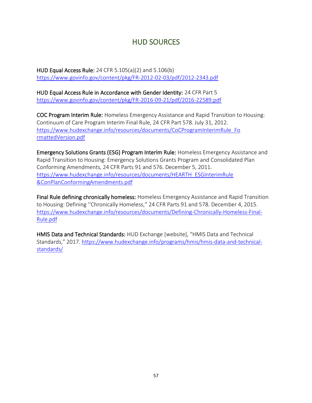# HUD SOURCES

HUD Equal Access Rule: 24 CFR 5.105(a)(2) and 5.106(b) <https://www.govinfo.gov/content/pkg/FR-2012-02-03/pdf/2012-2343.pdf>

HUD Equal Access Rule in Accordance with Gender Identity: 24 CFR Part 5 <https://www.govinfo.gov/content/pkg/FR-2016-09-21/pdf/2016-22589.pdf>

COC Program Interim Rule: Homeless Emergency Assistance and Rapid Transition to Housing: Continuum of Care Program Interim Final Rule, 24 CFR Part 578. July 31, 2012. [https://www.hudexchange.info/resources/documents/CoCProgramInterimRule\\_Fo](https://www.hudexchange.info/resources/documents/CoCProgramInterimRule_Fo%20rmattedVersion.pdf)  [rmattedVersion.pdf](https://www.hudexchange.info/resources/documents/CoCProgramInterimRule_Fo%20rmattedVersion.pdf)

Emergency Solutions Grants (ESG) Program Interim Rule: Homeless Emergency Assistance and Rapid Transition to Housing: Emergency Solutions Grants Program and Consolidated Plan Conforming Amendments, 24 CFR Parts 91 and 576. December 5, 2011. [https://www.hudexchange.info/resources/documents/HEARTH\\_ESGInterimRule](https://www.hudexchange.info/resources/documents/HEARTH_ESGInterimRule%20&ConPlanConformingAmendments.pdf)  [&ConPlanConformingAmendments.pdf](https://www.hudexchange.info/resources/documents/HEARTH_ESGInterimRule%20&ConPlanConformingAmendments.pdf)

Final Rule defining chronically homeless: Homeless Emergency Assistance and Rapid Transition to Housing: Defining ''Chronically Homeless," 24 CFR Parts 91 and 578. December 4, 2015. [https://www.hudexchange.info/resources/documents/Defining-Chronically-Homeless-Final-](https://www.hudexchange.info/resources/documents/Defining-Chronically-Homeless-Final-Rule.pdf)[Rule.pdf](https://www.hudexchange.info/resources/documents/Defining-Chronically-Homeless-Final-Rule.pdf)

HMIS Data and Technical Standards: HUD Exchange [website], "HMIS Data and Technical Standards," 2017. [https://www.hudexchange.info/programs/hmis/hmis-data-and-technical](https://www.hudexchange.info/programs/hmis/hmis-data-and-technical-standards/)[standards/](https://www.hudexchange.info/programs/hmis/hmis-data-and-technical-standards/)